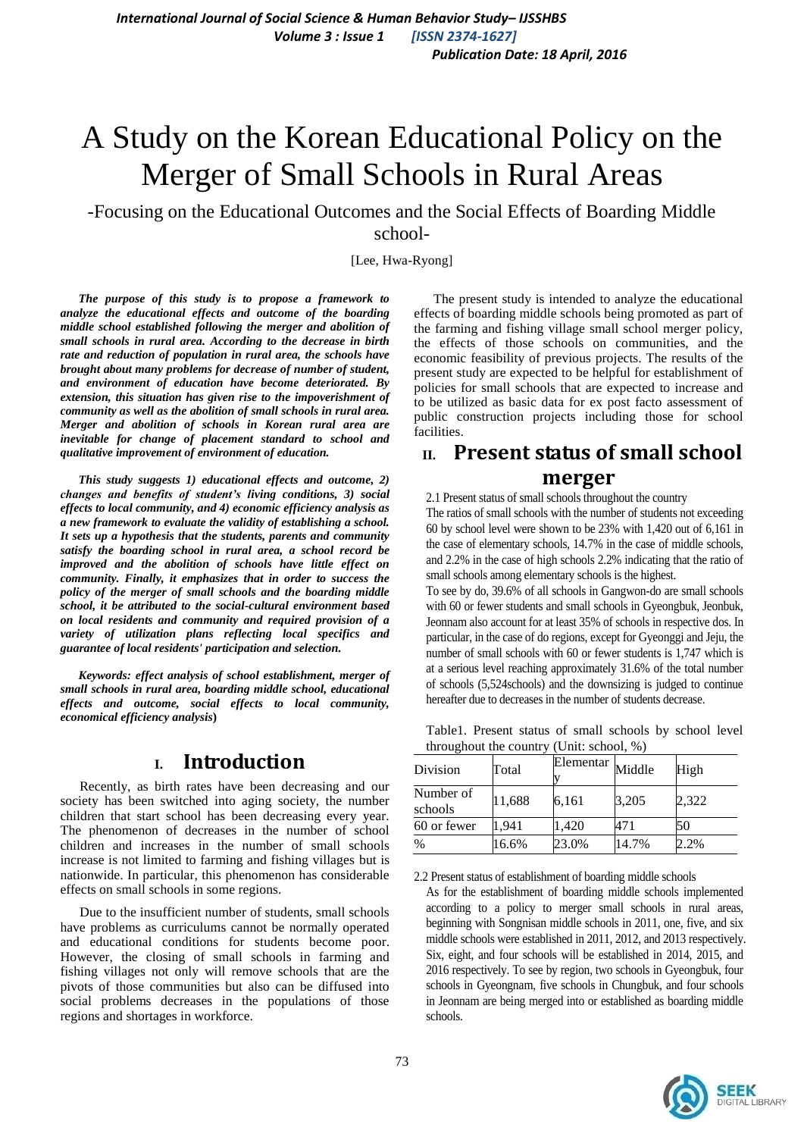# A Study on the Korean Educational Policy on the Merger of Small Schools in Rural Areas

-Focusing on the Educational Outcomes and the Social Effects of Boarding Middle school-

[Lee, Hwa-Ryong]

*The purpose of this study is to propose a framework to analyze the educational effects and outcome of the boarding middle school established following the merger and abolition of small schools in rural area. According to the decrease in birth rate and reduction of population in rural area, the schools have brought about many problems for decrease of number of student, and environment of education have become deteriorated. By extension, this situation has given rise to the impoverishment of community as well as the abolition of small schools in rural area. Merger and abolition of schools in Korean rural area are inevitable for change of placement standard to school and qualitative improvement of environment of education.* 

*This study suggests 1) educational effects and outcome, 2) changes and benefits of student's living conditions, 3) social effects to local community, and 4) economic efficiency analysis as a new framework to evaluate the validity of establishing a school. It sets up a hypothesis that the students, parents and community satisfy the boarding school in rural area, a school record be improved and the abolition of schools have little effect on community. Finally, it emphasizes that in order to success the policy of the merger of small schools and the boarding middle school, it be attributed to the social-cultural environment based on local residents and community and required provision of a variety of utilization plans reflecting local specifics and guarantee of local residents' participation and selection.* 

*Keywords: effect analysis of school establishment, merger of small schools in rural area, boarding middle school, educational effects and outcome, social effects to local community, economical efficiency analysis***)**

# **I. Introduction**

Recently, as birth rates have been decreasing and our society has been switched into aging society, the number children that start school has been decreasing every year. The phenomenon of decreases in the number of school children and increases in the number of small schools increase is not limited to farming and fishing villages but is nationwide. In particular, this phenomenon has considerable effects on small schools in some regions.

Due to the insufficient number of students, small schools have problems as curriculums cannot be normally operated and educational conditions for students become poor. However, the closing of small schools in farming and fishing villages not only will remove schools that are the pivots of those communities but also can be diffused into social problems decreases in the populations of those regions and shortages in workforce.

The present study is intended to analyze the educational effects of boarding middle schools being promoted as part of the farming and fishing village small school merger policy, the effects of those schools on communities, and the economic feasibility of previous projects. The results of the present study are expected to be helpful for establishment of policies for small schools that are expected to increase and to be utilized as basic data for ex post facto assessment of public construction projects including those for school facilities.

# **II. Present status of small school merger**

2.1 Present status of small schools throughout the country

The ratios of small schools with the number of students not exceeding 60 by school level were shown to be 23% with 1,420 out of 6,161 in the case of elementary schools, 14.7% in the case of middle schools, and 2.2% in the case of high schools 2.2% indicating that the ratio of small schools among elementary schools is the highest.

To see by do, 39.6% of all schools in Gangwon-do are small schools with 60 or fewer students and small schools in Gyeongbuk, Jeonbuk, Jeonnam also account for at least 35% of schools in respective dos. In particular, in the case of do regions, except for Gyeonggi and Jeju, the number of small schools with 60 or fewer students is 1,747 which is at a serious level reaching approximately 31.6% of the total number of schools (5,524schools) and the downsizing is judged to continue hereafter due to decreases in the number of students decrease.

Table1. Present status of small schools by school level throughout the country (Unit: school, %)

| Division             | Total  | Elementar | Middle | High  |
|----------------------|--------|-----------|--------|-------|
| Number of<br>schools | 11,688 | 6,161     | 3,205  | 2,322 |
| 60 or fewer          | 1.941  | 1,420     | 471    | 50    |
| $\frac{0}{0}$        | 16.6%  | 23.0%     | 14.7%  | 2.2%  |

2.2 Present status of establishment of boarding middle schools

As for the establishment of boarding middle schools implemented according to a policy to merger small schools in rural areas, beginning with Songnisan middle schools in 2011, one, five, and six middle schools were established in 2011, 2012, and 2013 respectively. Six, eight, and four schools will be established in 2014, 2015, and 2016 respectively. To see by region, two schools in Gyeongbuk, four schools in Gyeongnam, five schools in Chungbuk, and four schools in Jeonnam are being merged into or established as boarding middle schools.

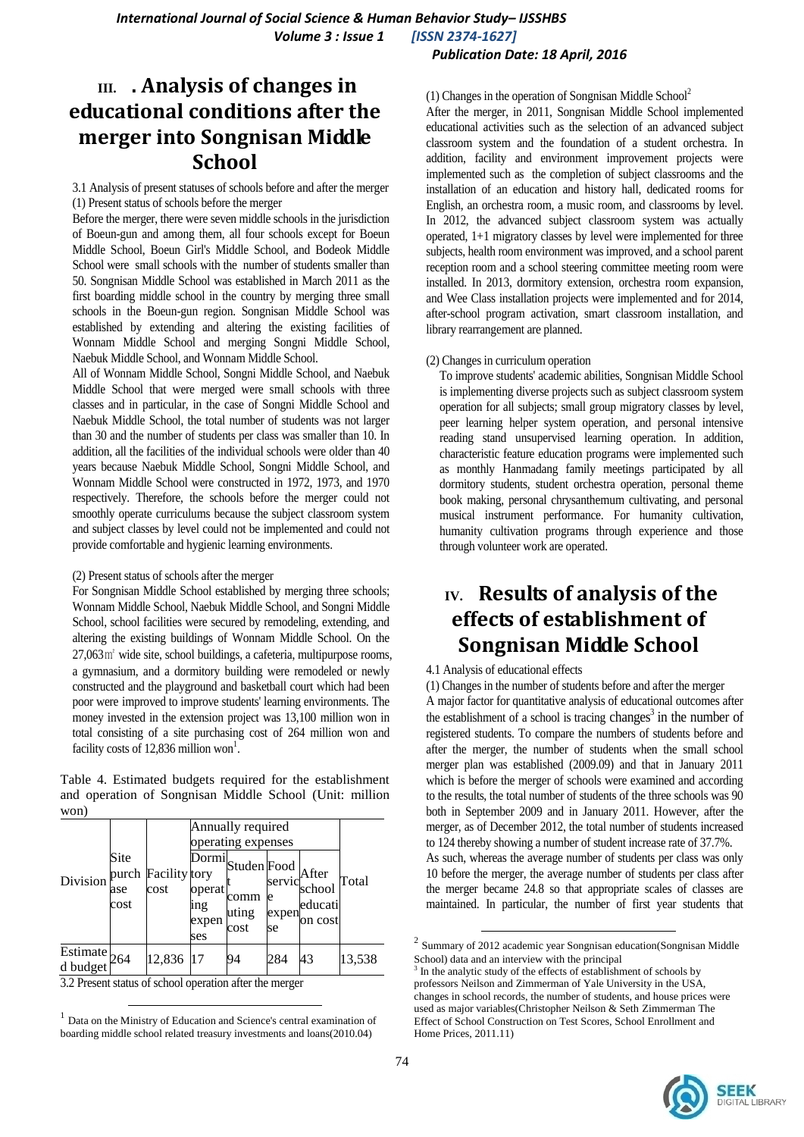# *Publication Date: 18 April, 2016*

# **III. . Analysis of changes in educational conditions after the merger into Songnisan Middle School**

3.1 Analysis of present statuses of schools before and after the merger (1) Present status of schools before the merger

Before the merger, there were seven middle schools in the jurisdiction of Boeun-gun and among them, all four schools except for Boeun Middle School, Boeun Girl's Middle School, and Bodeok Middle School were small schools with the number of students smaller than 50. Songnisan Middle School was established in March 2011 as the first boarding middle school in the country by merging three small schools in the Boeun-gun region. Songnisan Middle School was established by extending and altering the existing facilities of Wonnam Middle School and merging Songni Middle School, Naebuk Middle School, and Wonnam Middle School.

All of Wonnam Middle School, Songni Middle School, and Naebuk Middle School that were merged were small schools with three classes and in particular, in the case of Songni Middle School and Naebuk Middle School, the total number of students was not larger than 30 and the number of students per class was smaller than 10. In addition, all the facilities of the individual schools were older than 40 years because Naebuk Middle School, Songni Middle School, and Wonnam Middle School were constructed in 1972, 1973, and 1970 respectively. Therefore, the schools before the merger could not smoothly operate curriculums because the subject classroom system and subject classes by level could not be implemented and could not provide comfortable and hygienic learning environments.

#### (2) Present status of schools after the merger

For Songnisan Middle School established by merging three schools; Wonnam Middle School, Naebuk Middle School, and Songni Middle School, school facilities were secured by remodeling, extending, and altering the existing buildings of Wonnam Middle School. On the 27,063㎡ wide site, school buildings, a cafeteria, multipurpose rooms, a gymnasium, and a dormitory building were remodeled or newly constructed and the playground and basketball court which had been poor were improved to improve students' learning environments. The money invested in the extension project was 13,100 million won in total consisting of a site purchasing cost of 264 million won and facility costs of 12,836 million won<sup>1</sup>.

Table 4. Estimated budgets required for the establishment and operation of Songnisan Middle School (Unit: million won)

| 2 2                        |                     |                             |                               |                                                                                                        |                  |                                                 |        |
|----------------------------|---------------------|-----------------------------|-------------------------------|--------------------------------------------------------------------------------------------------------|------------------|-------------------------------------------------|--------|
| Division                   | Site<br>ase<br>cost | purch Facility tory<br>cost | operat<br>1ng<br>expen<br>ses | Annually required<br>operating expenses<br>$\sqrt{\text{Normal}}$ Studen Food<br>comm<br>uting<br>cost | e<br>expen<br>se | After<br>servic<br>school<br>educati<br>on cost | Total  |
| Estimate<br>d budget $264$ |                     | 12,836                      | 17                            | 94                                                                                                     | 284              | 43                                              | 13,538 |

3.2 Present status of school operation after the merger

 $\overline{a}$ 

After the merger, in 2011, Songnisan Middle School implemented educational activities such as the selection of an advanced subject classroom system and the foundation of a student orchestra. In addition, facility and environment improvement projects were implemented such as the completion of subject classrooms and the installation of an education and history hall, dedicated rooms for English, an orchestra room, a music room, and classrooms by level. In 2012, the advanced subject classroom system was actually operated, 1+1 migratory classes by level were implemented for three subjects, health room environment was improved, and a school parent reception room and a school steering committee meeting room were installed. In 2013, dormitory extension, orchestra room expansion, and Wee Class installation projects were implemented and for 2014, after-school program activation, smart classroom installation, and library rearrangement are planned.

## (2) Changes in curriculum operation

To improve students' academic abilities, Songnisan Middle School is implementing diverse projects such as subject classroom system operation for all subjects; small group migratory classes by level, peer learning helper system operation, and personal intensive reading stand unsupervised learning operation. In addition, characteristic feature education programs were implemented such as monthly Hanmadang family meetings participated by all dormitory students, student orchestra operation, personal theme book making, personal chrysanthemum cultivating, and personal musical instrument performance. For humanity cultivation, humanity cultivation programs through experience and those through volunteer work are operated.

# **IV. Results of analysis of the effects of establishment of Songnisan Middle School**

## 4.1 Analysis of educational effects

1

(1) Changes in the number of students before and after the merger A major factor for quantitative analysis of educational outcomes after the establishment of a school is tracing changes<sup>3</sup> in the number of registered students. To compare the numbers of students before and after the merger, the number of students when the small school merger plan was established (2009.09) and that in January 2011 which is before the merger of schools were examined and according to the results, the total number of students of the three schools was 90 both in September 2009 and in January 2011. However, after the merger, as of December 2012, the total number of students increased to 124 thereby showing a number of student increase rate of 37.7%.

As such, whereas the average number of students per class was only 10 before the merger, the average number of students per class after the merger became 24.8 so that appropriate scales of classes are maintained. In particular, the number of first year students that

<sup>3</sup> In the analytic study of the effects of establishment of schools by professors Neilson and Zimmerman of Yale University in the USA, changes in school records, the number of students, and house prices were used as major variables(Christopher Neilson & Seth Zimmerman The Effect of School Construction on Test Scores, School Enrollment and Home Prices, 2011.11)



<sup>1</sup> Data on the Ministry of Education and Science's central examination of boarding middle school related treasury investments and loans(2010.04)

<sup>&</sup>lt;sup>2</sup> Summary of 2012 academic year Songnisan education(Songnisan Middle School) data and an interview with the principal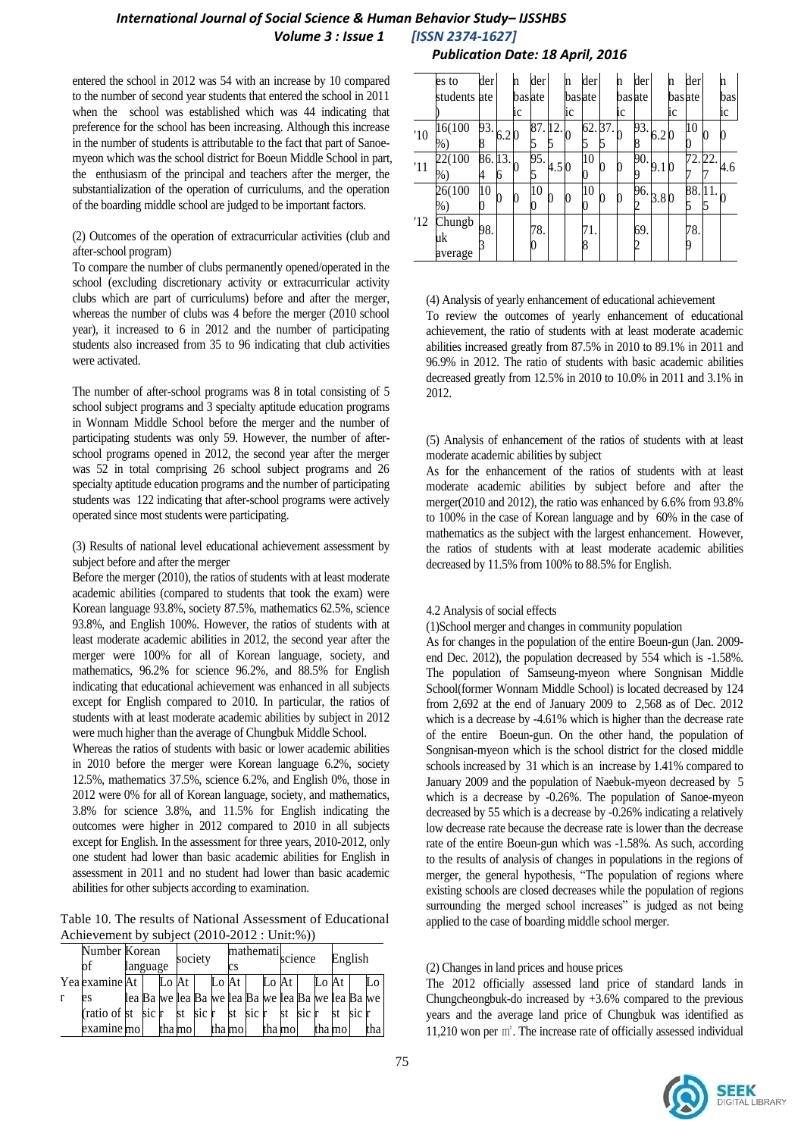# *International Journal of Social Science & Human Behavior Study– IJSSHBS Volume 3 : Issue 1 [ISSN 2374-1627]*

entered the school in 2012 was 54 with an increase by 10 compared to the number of second year students that entered the school in 2011 when the school was established which was 44 indicating that preference for the school has been increasing. Although this increase in the number of students is attributable to the fact that part of Sanoemyeon which was the school district for Boeun Middle School in part, the enthusiasm of the principal and teachers after the merger, the substantialization of the operation of curriculums, and the operation of the boarding middle school are judged to be important factors.

#### (2) Outcomes of the operation of extracurricular activities (club and after-school program)

To compare the number of clubs permanently opened/operated in the school (excluding discretionary activity or extracurricular activity clubs which are part of curriculums) before and after the merger, whereas the number of clubs was 4 before the merger (2010 school year), it increased to 6 in 2012 and the number of participating students also increased from 35 to 96 indicating that club activities were activated.

The number of after-school programs was 8 in total consisting of 5 school subject programs and 3 specialty aptitude education programs in Wonnam Middle School before the merger and the number of participating students was only 59. However, the number of afterschool programs opened in 2012, the second year after the merger was 52 in total comprising 26 school subject programs and 26 specialty aptitude education programs and the number of participating students was 122 indicating that after-school programs were actively operated since most students were participating.

(3) Results of national level educational achievement assessment by subject before and after the merger

Before the merger (2010), the ratios of students with at least moderate academic abilities (compared to students that took the exam) were Korean language 93.8%, society 87.5%, mathematics 62.5%, science 93.8%, and English 100%. However, the ratios of students with at least moderate academic abilities in 2012, the second year after the merger were 100% for all of Korean language, society, and mathematics, 96.2% for science 96.2%, and 88.5% for English indicating that educational achievement was enhanced in all subjects except for English compared to 2010. In particular, the ratios of students with at least moderate academic abilities by subject in 2012 were much higher than the average of Chungbuk Middle School.

Whereas the ratios of students with basic or lower academic abilities in 2010 before the merger were Korean language 6.2%, society 12.5%, mathematics 37.5%, science 6.2%, and English 0%, those in 2012 were 0% for all of Korean language, society, and mathematics, 3.8% for science 3.8%, and 11.5% for English indicating the outcomes were higher in 2012 compared to 2010 in all subjects except for English. In the assessment for three years, 2010-2012, only one student had lower than basic academic abilities for English in assessment in 2011 and no student had lower than basic academic abilities for other subjects according to examination.

Table 10. The results of National Assessment of Educational Achievement by subject (2010-2012 : Unit:%))

|  | Number Korean<br>lof         | language |  |  | mathemati<br>society<br>СS |  |  |                                                   | science |  |                  |  | English |  |          |     |
|--|------------------------------|----------|--|--|----------------------------|--|--|---------------------------------------------------|---------|--|------------------|--|---------|--|----------|-----|
|  | Yea examine At               |          |  |  | Lo At I                    |  |  | Lo At I                                           |         |  | Lo $\mathsf{At}$ |  | Lo At   |  |          | Lo  |
|  | es                           |          |  |  |                            |  |  | lea Ba we lea Ba we lea Ba we lea Ba we lea Ba we |         |  |                  |  |         |  |          |     |
|  | (ratio of st sic $\mathbf r$ |          |  |  | st sic r                   |  |  | st sic r                                          |         |  | st sic r         |  |         |  | st sic r |     |
|  | examine mo                   |          |  |  | tha mol                    |  |  | tha mol                                           |         |  | tha mol          |  | tha mol |  |          | tha |

# *Publication Date: 18 April, 2016*

|     | es to                   | der                             |   | n      | der     |       | 'n     | der      | 'n     | der      |      | n      | der      |    | n   |
|-----|-------------------------|---------------------------------|---|--------|---------|-------|--------|----------|--------|----------|------|--------|----------|----|-----|
|     | students ate            |                                 |   | basate |         |       | basate |          | basate |          |      | basate |          |    | bas |
|     |                         |                                 |   | İС     |         |       | iс     |          | iс     |          |      | iс     |          |    | ic  |
| '10 | 16(100<br>%             | $\overline{93}.\overline{6.20}$ |   |        | 87.     | 12.   | 0      | 62.37    |        | 93.<br>8 | 6.20 |        | 10       |    |     |
| '11 | 22(100<br>$%$ )         | 86.13.<br>4                     | h |        | 95.     | 4.5 0 |        | 10       |        | 90.<br>q | 9.1  |        | 72.22    |    | 4.6 |
|     | 26(100<br>$%$ )         | 10                              |   |        | 10<br>O | 0     |        | 10       |        | 96.<br>2 | 3.80 |        | 88.      | 11 |     |
| '12 | Chungb<br>uk<br>average | 98.                             |   |        | 78.     |       |        | 71.<br>8 |        | 69.<br>2 |      |        | 78.<br>q |    |     |

(4) Analysis of yearly enhancement of educational achievement To review the outcomes of yearly enhancement of educational achievement, the ratio of students with at least moderate academic abilities increased greatly from 87.5% in 2010 to 89.1% in 2011 and 96.9% in 2012. The ratio of students with basic academic abilities decreased greatly from 12.5% in 2010 to 10.0% in 2011 and 3.1% in 2012.

(5) Analysis of enhancement of the ratios of students with at least moderate academic abilities by subject

As for the enhancement of the ratios of students with at least moderate academic abilities by subject before and after the merger(2010 and 2012), the ratio was enhanced by 6.6% from 93.8% to 100% in the case of Korean language and by 60% in the case of mathematics as the subject with the largest enhancement. However, the ratios of students with at least moderate academic abilities decreased by 11.5% from 100% to 88.5% for English.

## 4.2 Analysis of social effects

(1)School merger and changes in community population

As for changes in the population of the entire Boeun-gun (Jan. 2009 end Dec. 2012), the population decreased by 554 which is -1.58%. The population of Samseung-myeon where Songnisan Middle School(former Wonnam Middle School) is located decreased by 124 from 2,692 at the end of January 2009 to 2,568 as of Dec. 2012 which is a decrease by -4.61% which is higher than the decrease rate of the entire Boeun-gun. On the other hand, the population of Songnisan-myeon which is the school district for the closed middle schools increased by 31 which is an increase by 1.41% compared to January 2009 and the population of Naebuk-myeon decreased by 5 which is a decrease by -0.26%. The population of Sanoe-myeon decreased by 55 which is a decrease by -0.26% indicating a relatively low decrease rate because the decrease rate is lower than the decrease rate of the entire Boeun-gun which was -1.58%. As such, according to the results of analysis of changes in populations in the regions of merger, the general hypothesis, "The population of regions where existing schools are closed decreases while the population of regions surrounding the merged school increases" is judged as not being applied to the case of boarding middle school merger.

## (2) Changes in land prices and house prices

The 2012 officially assessed land price of standard lands in Chungcheongbuk-do increased by  $+3.6\%$  compared to the previous years and the average land price of Chungbuk was identified as 11,210 won per ㎡. The increase rate of officially assessed individual